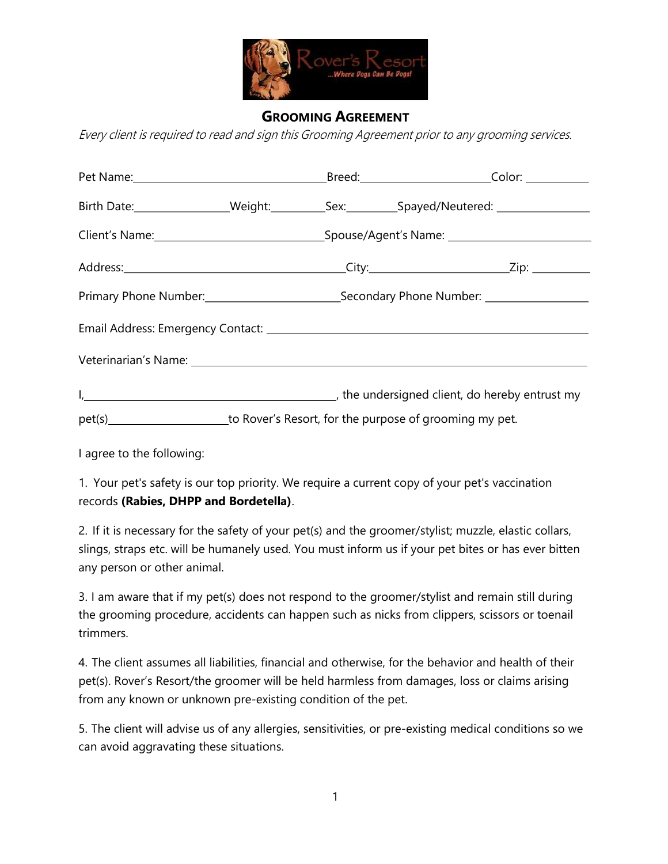

## GROOMING AGREEMENT

Every client is required to read and sign this Grooming Agreement prior to any grooming services.

| Birth Date:___________________Weight:____________Sex:__________Spayed/Neutered: ___________________ |                                                                                     |  |  |  |
|-----------------------------------------------------------------------------------------------------|-------------------------------------------------------------------------------------|--|--|--|
|                                                                                                     |                                                                                     |  |  |  |
|                                                                                                     |                                                                                     |  |  |  |
|                                                                                                     |                                                                                     |  |  |  |
|                                                                                                     |                                                                                     |  |  |  |
|                                                                                                     |                                                                                     |  |  |  |
|                                                                                                     | I, 1. 2008 [1] the undersigned client, do hereby entrust my                         |  |  |  |
|                                                                                                     | pet(s)_______________________to Rover's Resort, for the purpose of grooming my pet. |  |  |  |

I agree to the following:

1. Your pet's safety is our top priority. We require a current copy of your pet's vaccination records (Rabies, DHPP and Bordetella).

2. If it is necessary for the safety of your pet(s) and the groomer/stylist; muzzle, elastic collars, slings, straps etc. will be humanely used. You must inform us if your pet bites or has ever bitten any person or other animal.

3. I am aware that if my pet(s) does not respond to the groomer/stylist and remain still during the grooming procedure, accidents can happen such as nicks from clippers, scissors or toenail trimmers.

4. The client assumes all liabilities, financial and otherwise, for the behavior and health of their pet(s). Rover's Resort/the groomer will be held harmless from damages, loss or claims arising from any known or unknown pre-existing condition of the pet.

5. The client will advise us of any allergies, sensitivities, or pre-existing medical conditions so we can avoid aggravating these situations.